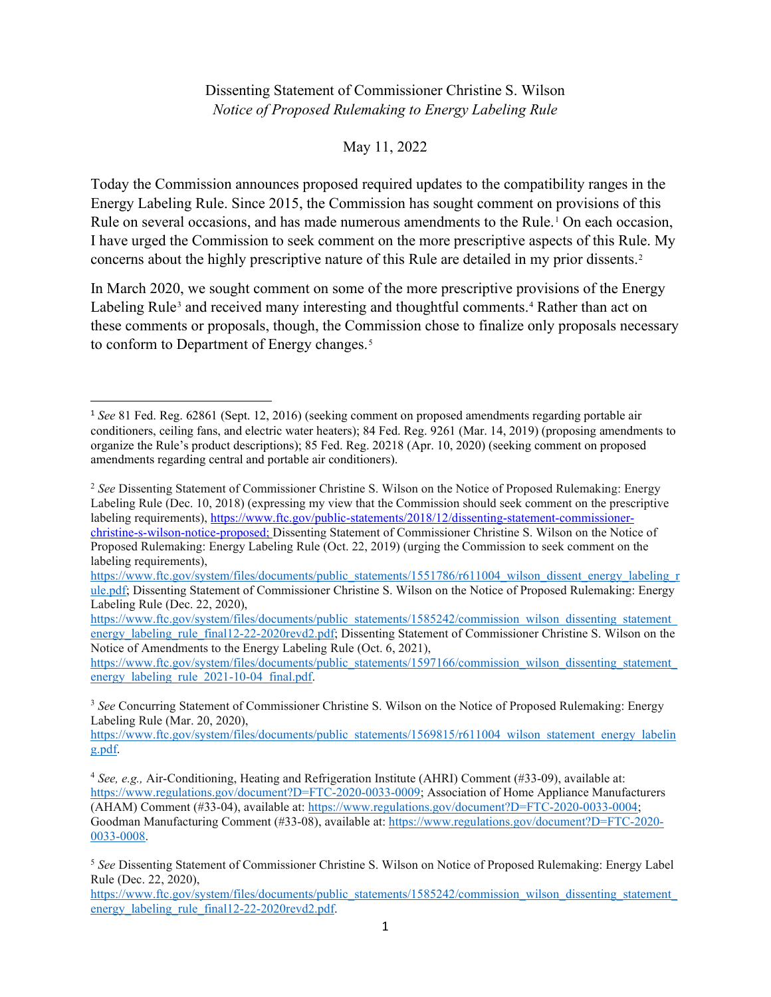## Dissenting Statement of Commissioner Christine S. Wilson *Notice of Proposed Rulemaking to Energy Labeling Rule*

May 11, 2022

 Today the Commission announces proposed required updates to the compatibility ranges in the Rule on several occasions, and has made numerous amendments to the Rule.<sup>[1](#page-0-0)</sup> On each occasion, concerns about the highly prescriptive nature of this Rule are detailed in my prior dissents.[2](#page-0-1)  Energy Labeling Rule. Since 2015, the Commission has sought comment on provisions of this I have urged the Commission to seek comment on the more prescriptive aspects of this Rule. My

In March 2020, we sought comment on some of the more prescriptive provisions of the Energy Labeling Rule<sup>[3](#page-0-2)</sup> and received many interesting and thoughtful comments.<sup>4</sup> Rather than act on these comments or proposals, though, the Commission chose to finalize only proposals necessary to conform to Department of Energy changes.<sup>[5](#page-0-4)</sup>

<span id="page-0-0"></span> <sup>1</sup>*See* 81 Fed. Reg. 62861 (Sept. 12, 2016) (seeking comment on proposed amendments regarding portable air organize the Rule's product descriptions); 85 Fed. Reg. 20218 (Apr. 10, 2020) (seeking comment on proposed conditioners, ceiling fans, and electric water heaters); 84 Fed. Reg. 9261 (Mar. 14, 2019) (proposing amendments to amendments regarding central and portable air conditioners).

<span id="page-0-1"></span> <sup>2</sup>*See* Dissenting Statement of Commissioner Christine S. Wilson on the Notice of Proposed Rulemaking: Energy labeling requirements), Labeling Rule (Dec. 10, 2018) (expressing my view that the Commission should seek comment on the prescriptive labeling requirements), [https://www.ftc.gov/public-statements/2018/12/dissenting-statement-commissioner](https://www.ftc.gov/public-statements/2018/12/dissenting-statement-commissioner-christine-s-wilson-notice-proposed)[christine-s-wilson-notice-proposed;](https://www.ftc.gov/public-statements/2018/12/dissenting-statement-commissioner-christine-s-wilson-notice-proposed) Dissenting Statement of Commissioner Christine S. Wilson on the Notice of Proposed Rulemaking: Energy Labeling Rule (Oct. 22, 2019) (urging the Commission to seek comment on the

https://www.ftc.gov/system/files/documents/public\_statements/1551786/r611004\_wilson\_dissent\_energy\_labeling\_r [ule.pdf;](https://www.ftc.gov/system/files/documents/public_statements/1551786/r611004_wilson_dissent_energy_labeling_rule.pdf) Dissenting Statement of Commissioner Christine S. Wilson on the Notice of Proposed Rulemaking: Energy Labeling Rule (Dec. 22, 2020),

 Notice of Amendments to the Energy Labeling Rule (Oct. 6, 2021), [https://www.ftc.gov/system/files/documents/public\\_statements/1585242/commission\\_wilson\\_dissenting\\_statemen](https://www.ftc.gov/system/files/documents/public_statements/1585242/commission_wilson_dissenting_statement)t [energy\\_labeling\\_rule\\_final12-22-2020revd2.pdf;](https://www.ftc.gov/system/files/documents/public_statements/1585242/commission_wilson_dissenting_statement_energy_labeling_rule_final12-22-2020revd2.pdf) Dissenting Statement of Commissioner Christine S. Wilson on the

https://www.ftc.gov/system/files/documents/public\_statements/1597166/commission\_wilson\_dissenting\_statement energy labeling rule 2021-10-04 final.pdf.

<span id="page-0-2"></span><sup>&</sup>lt;sup>3</sup> See Concurring Statement of Commissioner Christine S. Wilson on the Notice of Proposed Rulemaking: Energy Labeling Rule (Mar. 20, 2020),

[https://www.ftc.gov/system/files/documents/public\\_statements/1569815/r611004\\_wilson\\_statement\\_energy\\_labelin](https://www.ftc.gov/system/files/documents/public_statements/1569815/r611004_wilson_statement_energy_labelin) [g.pdf.](https://www.ftc.gov/system/files/documents/public_statements/1569815/r611004_wilson_statement_energy_labeling.pdf)

<span id="page-0-3"></span> <sup>4</sup>*See, e.g.,* Air-Conditioning, Heating and Refrigeration Institute (AHRI) Comment (#33-09), available at: [https://www.regulations.gov/document?D=FTC-2020-0033-0009;](https://www.regulations.gov/document?D=FTC-2020-0033-0009) Association of Home Appliance Manufacturers (AHAM) Comment (#33-04), available at[: https://www.regulations.gov/document?D=FTC-2020-0033-0004;](https://www.regulations.gov/document?D=FTC-2020-0033-0004) Goodman Manufacturing Comment (#33-08), available at:<https://www.regulations.gov/document?D=FTC-2020>[-](https://www.regulations.gov/document?D=FTC-2020-0033-0008) [0033-0008.](https://www.regulations.gov/document?D=FTC-2020-0033-0008) 

<span id="page-0-4"></span> <sup>5</sup>*See* Dissenting Statement of Commissioner Christine S. Wilson on Notice of Proposed Rulemaking: Energy Label Rule (Dec. 22, 2020),

https://www.ftc.gov/system/files/documents/public\_statements/1585242/commission\_wilson\_dissenting\_statement [energy\\_labeling\\_rule\\_final12-22-2020revd2.pdf.](https://www.ftc.gov/system/files/documents/public_statements/1585242/commission_wilson_dissenting_statement_energy_labeling_rule_final12-22-2020revd2.pdf)